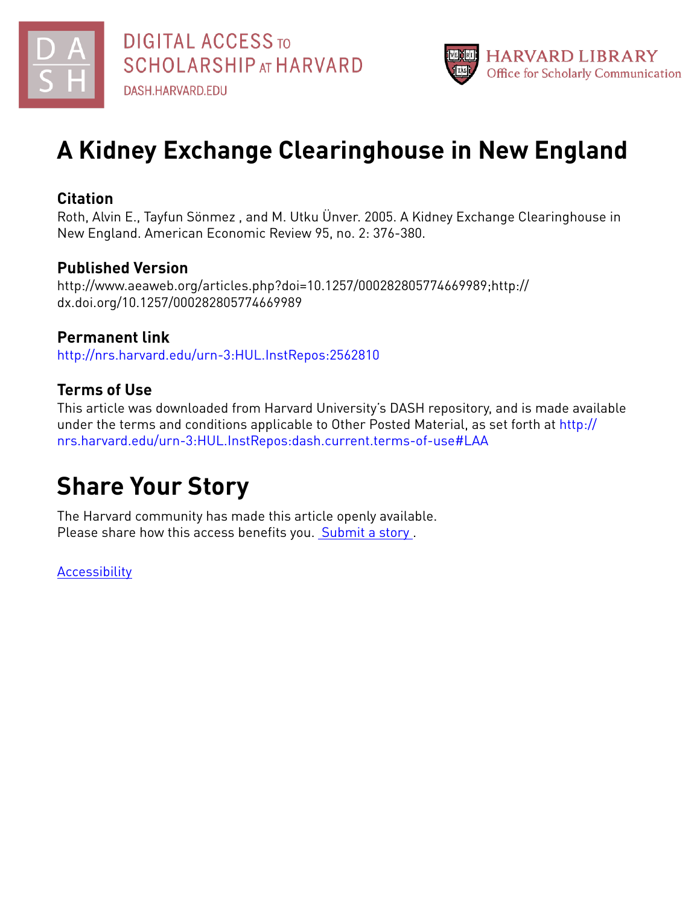



# **A Kidney Exchange Clearinghouse in New England**

### **Citation**

Roth, Alvin E., Tayfun Sönmez , and M. Utku Ünver. 2005. A Kidney Exchange Clearinghouse in New England. American Economic Review 95, no. 2: 376-380.

### **Published Version**

http://www.aeaweb.org/articles.php?doi=10.1257/000282805774669989;http:// dx.doi.org/10.1257/000282805774669989

## **Permanent link**

<http://nrs.harvard.edu/urn-3:HUL.InstRepos:2562810>

### **Terms of Use**

This article was downloaded from Harvard University's DASH repository, and is made available under the terms and conditions applicable to Other Posted Material, as set forth at [http://](http://nrs.harvard.edu/urn-3:HUL.InstRepos:dash.current.terms-of-use#LAA) [nrs.harvard.edu/urn-3:HUL.InstRepos:dash.current.terms-of-use#LAA](http://nrs.harvard.edu/urn-3:HUL.InstRepos:dash.current.terms-of-use#LAA)

# **Share Your Story**

The Harvard community has made this article openly available. Please share how this access benefits you. [Submit](http://osc.hul.harvard.edu/dash/open-access-feedback?handle=&title=A%20Kidney%20Exchange%20Clearinghouse%20in%20New%20England&community=1/1&collection=1/2&owningCollection1/2&harvardAuthors=0451322e4f90c20fd79841bd45fa10c3&departmentEconomics) a story.

**[Accessibility](https://dash.harvard.edu/pages/accessibility)**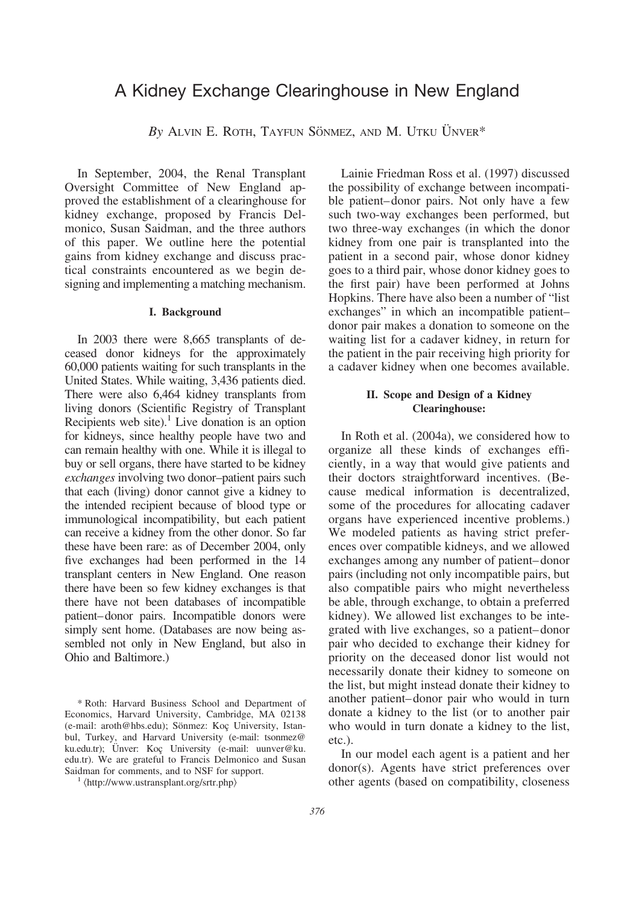### A Kidney Exchange Clearinghouse in New England

By ALVIN E. ROTH, TAYFUN SÖNMEZ, AND M. UTKU ÜNVER<sup>\*</sup>

In September, 2004, the Renal Transplant Oversight Committee of New England approved the establishment of a clearinghouse for kidney exchange, proposed by Francis Delmonico, Susan Saidman, and the three authors of this paper. We outline here the potential gains from kidney exchange and discuss practical constraints encountered as we begin designing and implementing a matching mechanism.

#### **I. Background**

In 2003 there were 8,665 transplants of deceased donor kidneys for the approximately 60,000 patients waiting for such transplants in the United States. While waiting, 3,436 patients died. There were also 6,464 kidney transplants from living donors (Scientific Registry of Transplant Recipients web site). $<sup>1</sup>$  Live donation is an option</sup> for kidneys, since healthy people have two and can remain healthy with one. While it is illegal to buy or sell organs, there have started to be kidney *exchanges* involving two donor–patient pairs such that each (living) donor cannot give a kidney to the intended recipient because of blood type or immunological incompatibility, but each patient can receive a kidney from the other donor. So far these have been rare: as of December 2004, only five exchanges had been performed in the 14 transplant centers in New England. One reason there have been so few kidney exchanges is that there have not been databases of incompatible patient–donor pairs. Incompatible donors were simply sent home. (Databases are now being assembled not only in New England, but also in Ohio and Baltimore.)

\* Roth: Harvard Business School and Department of Economics, Harvard University, Cambridge, MA 02138 (e-mail: aroth@hbs.edu); Sönmez: Koç University, Istanbul, Turkey, and Harvard University (e-mail: tsonmez@ ku.edu.tr); Ünver: Koç University (e-mail: uunver@ku. edu.tr). We are grateful to Francis Delmonico and Susan Saidman for comments, and to NSF for support.

Lainie Friedman Ross et al. (1997) discussed the possibility of exchange between incompatible patient–donor pairs. Not only have a few such two-way exchanges been performed, but two three-way exchanges (in which the donor kidney from one pair is transplanted into the patient in a second pair, whose donor kidney goes to a third pair, whose donor kidney goes to the first pair) have been performed at Johns Hopkins. There have also been a number of "list exchanges" in which an incompatible patient– donor pair makes a donation to someone on the waiting list for a cadaver kidney, in return for the patient in the pair receiving high priority for a cadaver kidney when one becomes available.

#### **II. Scope and Design of a Kidney Clearinghouse:**

In Roth et al. (2004a), we considered how to organize all these kinds of exchanges efficiently, in a way that would give patients and their doctors straightforward incentives. (Because medical information is decentralized, some of the procedures for allocating cadaver organs have experienced incentive problems.) We modeled patients as having strict preferences over compatible kidneys, and we allowed exchanges among any number of patient–donor pairs (including not only incompatible pairs, but also compatible pairs who might nevertheless be able, through exchange, to obtain a preferred kidney). We allowed list exchanges to be integrated with live exchanges, so a patient–donor pair who decided to exchange their kidney for priority on the deceased donor list would not necessarily donate their kidney to someone on the list, but might instead donate their kidney to another patient–donor pair who would in turn donate a kidney to the list (or to another pair who would in turn donate a kidney to the list, etc.).

In our model each agent is a patient and her donor(s). Agents have strict preferences over other agents (based on compatibility, closeness

<sup>&</sup>lt;sup>1</sup> \/http://www.ustransplant.org/srtr.php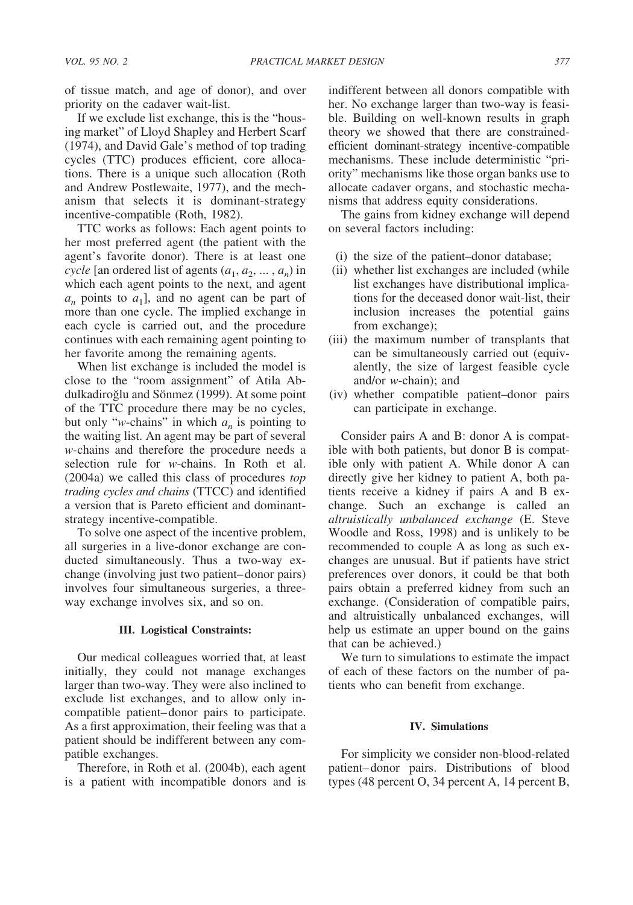of tissue match, and age of donor), and over priority on the cadaver wait-list.

If we exclude list exchange, this is the "housing market" of Lloyd Shapley and Herbert Scarf (1974), and David Gale's method of top trading cycles (TTC) produces efficient, core allocations. There is a unique such allocation (Roth and Andrew Postlewaite, 1977), and the mechanism that selects it is dominant-strategy incentive-compatible (Roth, 1982).

TTC works as follows: Each agent points to her most preferred agent (the patient with the agent's favorite donor). There is at least one *cycle* [an ordered list of agents  $(a_1, a_2, \ldots, a_n)$  in which each agent points to the next, and agent  $a_n$  points to  $a_1$ , and no agent can be part of more than one cycle. The implied exchange in each cycle is carried out, and the procedure continues with each remaining agent pointing to her favorite among the remaining agents.

When list exchange is included the model is close to the "room assignment" of Atila Abdulkadiroğlu and Sönmez (1999). At some point of the TTC procedure there may be no cycles, but only "*w*-chains" in which  $a_n$  is pointing to the waiting list. An agent may be part of several *w*-chains and therefore the procedure needs a selection rule for *w*-chains. In Roth et al. (2004a) we called this class of procedures *top trading cycles and chains* (TTCC) and identified a version that is Pareto efficient and dominantstrategy incentive-compatible.

To solve one aspect of the incentive problem, all surgeries in a live-donor exchange are conducted simultaneously. Thus a two-way exchange (involving just two patient–donor pairs) involves four simultaneous surgeries, a threeway exchange involves six, and so on.

#### **III. Logistical Constraints:**

Our medical colleagues worried that, at least initially, they could not manage exchanges larger than two-way. They were also inclined to exclude list exchanges, and to allow only incompatible patient–donor pairs to participate. As a first approximation, their feeling was that a patient should be indifferent between any compatible exchanges.

Therefore, in Roth et al. (2004b), each agent is a patient with incompatible donors and is

indifferent between all donors compatible with her. No exchange larger than two-way is feasible. Building on well-known results in graph theory we showed that there are constrainedefficient dominant-strategy incentive-compatible mechanisms. These include deterministic "priority" mechanisms like those organ banks use to allocate cadaver organs, and stochastic mechanisms that address equity considerations.

The gains from kidney exchange will depend on several factors including:

- (i) the size of the patient–donor database;
- (ii) whether list exchanges are included (while list exchanges have distributional implications for the deceased donor wait-list, their inclusion increases the potential gains from exchange);
- (iii) the maximum number of transplants that can be simultaneously carried out (equivalently, the size of largest feasible cycle and/or *w*-chain); and
- (iv) whether compatible patient–donor pairs can participate in exchange.

Consider pairs A and B: donor A is compatible with both patients, but donor B is compatible only with patient A. While donor A can directly give her kidney to patient A, both patients receive a kidney if pairs A and B exchange. Such an exchange is called an *altruistically unbalanced exchange* (E. Steve Woodle and Ross, 1998) and is unlikely to be recommended to couple A as long as such exchanges are unusual. But if patients have strict preferences over donors, it could be that both pairs obtain a preferred kidney from such an exchange. (Consideration of compatible pairs, and altruistically unbalanced exchanges, will help us estimate an upper bound on the gains that can be achieved.)

We turn to simulations to estimate the impact of each of these factors on the number of patients who can benefit from exchange.

#### **IV. Simulations**

For simplicity we consider non-blood-related patient–donor pairs. Distributions of blood types (48 percent O, 34 percent A, 14 percent B,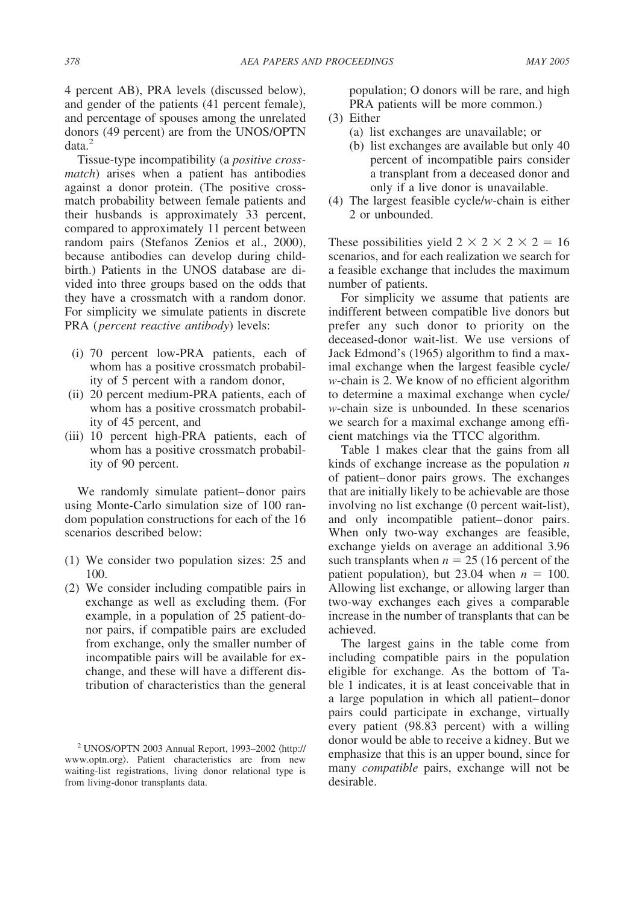4 percent AB), PRA levels (discussed below), and gender of the patients (41 percent female), and percentage of spouses among the unrelated donors (49 percent) are from the UNOS/OPTN data.<sup>2</sup>

Tissue-type incompatibility (a *positive crossmatch*) arises when a patient has antibodies against a donor protein. (The positive crossmatch probability between female patients and their husbands is approximately 33 percent, compared to approximately 11 percent between random pairs (Stefanos Zenios et al., 2000), because antibodies can develop during childbirth.) Patients in the UNOS database are divided into three groups based on the odds that they have a crossmatch with a random donor. For simplicity we simulate patients in discrete PRA (*percent reactive antibody*) levels:

- (i) 70 percent low-PRA patients, each of whom has a positive crossmatch probability of 5 percent with a random donor,
- (ii) 20 percent medium-PRA patients, each of whom has a positive crossmatch probability of 45 percent, and
- (iii) 10 percent high-PRA patients, each of whom has a positive crossmatch probability of 90 percent.

We randomly simulate patient–donor pairs using Monte-Carlo simulation size of 100 random population constructions for each of the 16 scenarios described below:

- (1) We consider two population sizes: 25 and 100.
- (2) We consider including compatible pairs in exchange as well as excluding them. (For example, in a population of 25 patient-donor pairs, if compatible pairs are excluded from exchange, only the smaller number of incompatible pairs will be available for exchange, and these will have a different distribution of characteristics than the general

population; O donors will be rare, and high PRA patients will be more common.)

- (3) Either
	- (a) list exchanges are unavailable; or
	- (b) list exchanges are available but only 40 percent of incompatible pairs consider a transplant from a deceased donor and only if a live donor is unavailable.
- (4) The largest feasible cycle/*w*-chain is either 2 or unbounded.

These possibilities yield  $2 \times 2 \times 2 \times 2 = 16$ scenarios, and for each realization we search for a feasible exchange that includes the maximum number of patients.

For simplicity we assume that patients are indifferent between compatible live donors but prefer any such donor to priority on the deceased-donor wait-list. We use versions of Jack Edmond's (1965) algorithm to find a maximal exchange when the largest feasible cycle/ *w*-chain is 2. We know of no efficient algorithm to determine a maximal exchange when cycle/ *w*-chain size is unbounded. In these scenarios we search for a maximal exchange among efficient matchings via the TTCC algorithm.

Table 1 makes clear that the gains from all kinds of exchange increase as the population *n* of patient–donor pairs grows. The exchanges that are initially likely to be achievable are those involving no list exchange (0 percent wait-list), and only incompatible patient–donor pairs. When only two-way exchanges are feasible, exchange yields on average an additional 3.96 such transplants when  $n = 25$  (16 percent of the patient population), but 23.04 when  $n = 100$ . Allowing list exchange, or allowing larger than two-way exchanges each gives a comparable increase in the number of transplants that can be achieved.

The largest gains in the table come from including compatible pairs in the population eligible for exchange. As the bottom of Table 1 indicates, it is at least conceivable that in a large population in which all patient–donor pairs could participate in exchange, virtually every patient (98.83 percent) with a willing donor would be able to receive a kidney. But we emphasize that this is an upper bound, since for many *compatible* pairs, exchange will not be desirable.

 $2$  UNOS/OPTN 2003 Annual Report, 1993-2002  $\langle$ http:// www.optn.org). Patient characteristics are from new waiting-list registrations, living donor relational type is from living-donor transplants data.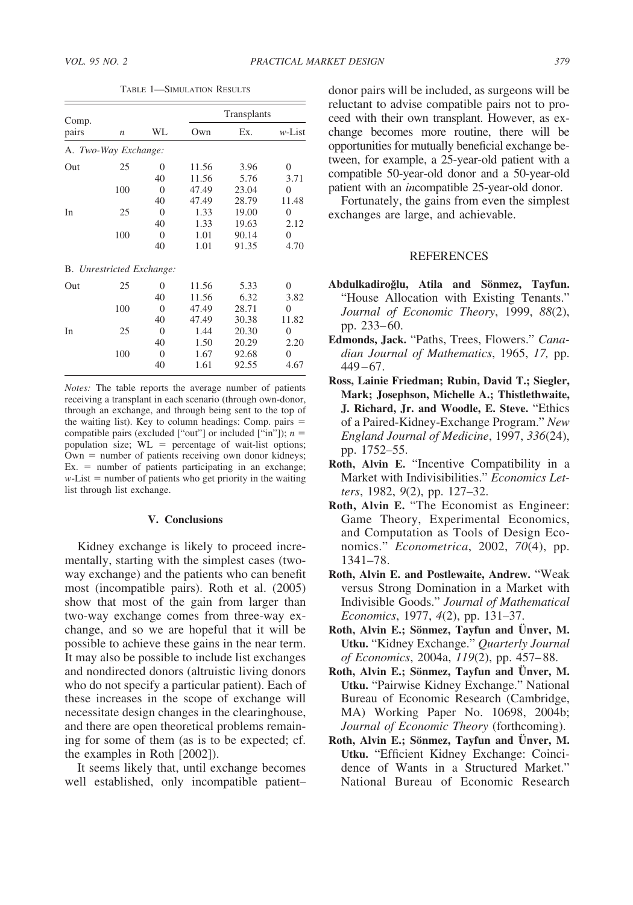| Comp.                     |                  |                | Transplants |       |                |
|---------------------------|------------------|----------------|-------------|-------|----------------|
| pairs                     | $\boldsymbol{n}$ | WL             | Own         | Ex.   | $w$ -List      |
| A. Two-Way Exchange:      |                  |                |             |       |                |
| Out                       | 25               | 0              | 11.56       | 3.96  | $\theta$       |
|                           |                  | 40             | 11.56       | 5.76  | 3.71           |
|                           | 100              | $\Omega$       | 47.49       | 23.04 | $\overline{0}$ |
|                           |                  | 40             | 47.49       | 28.79 | 11.48          |
| In                        | 25               | $\overline{0}$ | 1.33        | 19.00 | $\theta$       |
|                           |                  | 40             | 1.33        | 19.63 | 2.12           |
|                           | 100              | $\overline{0}$ | 1.01        | 90.14 | $\theta$       |
|                           |                  | 40             | 1.01        | 91.35 | 4.70           |
| B. Unrestricted Exchange: |                  |                |             |       |                |
| Out                       | 25               | 0              | 11.56       | 5.33  | $\theta$       |
|                           |                  | 40             | 11.56       | 6.32  | 3.82           |
|                           | 100              | $\theta$       | 47.49       | 28.71 | 0              |
|                           |                  | 40             | 47.49       | 30.38 | 11.82          |
| In                        | 25               | $\overline{0}$ | 1.44        | 20.30 | $\overline{0}$ |
|                           |                  | 40             | 1.50        | 20.29 | 2.20           |
|                           | 100              | $\overline{0}$ | 1.67        | 92.68 | $\overline{0}$ |
|                           |                  | 40             | 1.61        | 92.55 | 4.67           |

TABLE 1—SIMULATION RESULTS

*Notes:* The table reports the average number of patients receiving a transplant in each scenario (through own-donor, through an exchange, and through being sent to the top of the waiting list). Key to column headings: Comp. pairs  $=$ compatible pairs (excluded ["out"] or included ["in"]); *n* population size;  $WL = percentage of wait-list options;$  $\overline{Own}$  = number of patients receiving own donor kidneys;  $Ex. =$  number of patients participating in an exchange;  $w$ -List  $=$  number of patients who get priority in the waiting list through list exchange.

#### **V. Conclusions**

Kidney exchange is likely to proceed incrementally, starting with the simplest cases (twoway exchange) and the patients who can benefit most (incompatible pairs). Roth et al. (2005) show that most of the gain from larger than two-way exchange comes from three-way exchange, and so we are hopeful that it will be possible to achieve these gains in the near term. It may also be possible to include list exchanges and nondirected donors (altruistic living donors who do not specify a particular patient). Each of these increases in the scope of exchange will necessitate design changes in the clearinghouse, and there are open theoretical problems remaining for some of them (as is to be expected; cf. the examples in Roth [2002]).

It seems likely that, until exchange becomes well established, only incompatible patient– donor pairs will be included, as surgeons will be reluctant to advise compatible pairs not to proceed with their own transplant. However, as exchange becomes more routine, there will be opportunities for mutually beneficial exchange between, for example, a 25-year-old patient with a compatible 50-year-old donor and a 50-year-old patient with an *in*compatible 25-year-old donor.

Fortunately, the gains from even the simplest exchanges are large, and achievable.

#### **REFERENCES**

- Abdulkadiroğlu, Atila and Sönmez, Tayfun. "House Allocation with Existing Tenants." *Journal of Economic Theory*, 1999, *88*(2), pp. 233–60.
- **Edmonds, Jack.** "Paths, Trees, Flowers." *Canadian Journal of Mathematics*, 1965, *17,* pp. 449–67.
- **Ross, Lainie Friedman; Rubin, David T.; Siegler, Mark; Josephson, Michelle A.; Thistlethwaite, J. Richard, Jr. and Woodle, E. Steve.** "Ethics of a Paired-Kidney-Exchange Program." *New England Journal of Medicine*, 1997, *336*(24), pp. 1752–55.
- **Roth, Alvin E.** "Incentive Compatibility in a Market with Indivisibilities." *Economics Letters*, 1982, *9*(2), pp. 127–32.
- **Roth, Alvin E.** "The Economist as Engineer: Game Theory, Experimental Economics, and Computation as Tools of Design Economics." *Econometrica*, 2002, *70*(4), pp. 1341–78.
- **Roth, Alvin E. and Postlewaite, Andrew.** "Weak versus Strong Domination in a Market with Indivisible Goods." *Journal of Mathematical Economics*, 1977, *4*(2), pp. 131–37.
- **Roth, Alvin E.; Sönmez, Tayfun and Ünver, M. Utku.** "Kidney Exchange." *Quarterly Journal of Economics*, 2004a, *119*(2), pp. 457–88.
- Roth, Alvin E.; Sönmez, Tayfun and Ünver, M. **Utku.** "Pairwise Kidney Exchange." National Bureau of Economic Research (Cambridge, MA) Working Paper No. 10698, 2004b; *Journal of Economic Theory* (forthcoming).
- Roth, Alvin E.; Sönmez, Tayfun and Ünver, M. **Utku.** "Efficient Kidney Exchange: Coincidence of Wants in a Structured Market." National Bureau of Economic Research